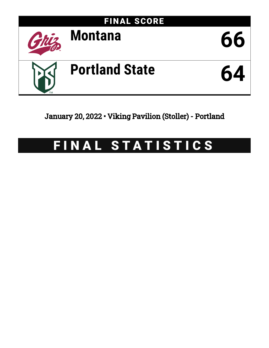

January 20, 2022 • Viking Pavilion (Stoller) - Portland

# FINAL STATISTICS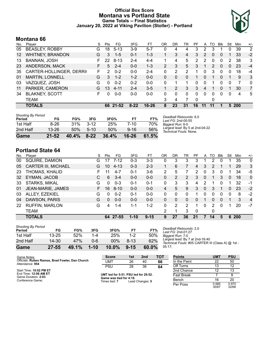### **Official Box Score Montana vs Portland State Game Totals -- Final Statistics January 20, 2022 at Viking Pavilion (Stoller) - Portland**



## **Montana 66**

| No. | Plaver                   | S  | <b>Pts</b> | FG       | 3FG     | FТ        | OR             | DR | TR       | PF       | A        | TO            | <b>B</b> lk | Stl | Min   | $+/-$          |
|-----|--------------------------|----|------------|----------|---------|-----------|----------------|----|----------|----------|----------|---------------|-------------|-----|-------|----------------|
| 05  | <b>BEASLEY, ROBBY</b>    | G  | 18         | $5 - 13$ | $3-9$   | $5 - 7$   | 0              | 4  | 4        | 3        | 2        | 3             |             | 0   | 39    | $\overline{2}$ |
| 12  | <b>WHITNEY, BRANDON</b>  | G  | 3          | $1 - 5$  | $0 - 1$ | $1 - 3$   |                | 3  | 4        | 3        | 2        | 0             | $\Omega$    |     | 33    | $-2$           |
| 13  | BANNAN, JOSH             |    | 22         | $8 - 13$ | $2 - 4$ | $4 - 4$   | 1.             | 4  | 5        | 2        | 2        | 0             | $\Omega$    | 2   | 38    | 3              |
| 23  | ANDERSON, MACK           |    | 5          | $2 - 4$  | $0 - 0$ | $1 - 3$   | $\overline{2}$ | 3  | 5        | 3        |          | $\mathcal{P}$ | $\Omega$    | 0   | 23    | $-4$           |
| 35  | CARTER-HOLLINGER, DERRIG | F. | 2          | $0 - 2$  | $0 - 0$ | $2 - 4$   | 0              | 2  | 2        | 1        | 0        | 3             | $\Omega$    | 0   | 18    | $-4$           |
| 01  | <b>MARTIN, LONNELL</b>   | G  | 3          | $1 - 2$  | $1 - 2$ | $0 - 0$   | 0              | 0  | 0        |          | 0        |               | 0           |     | 9     | 3              |
| 03  | VAZQUEZ, JOSH            | G  | 0          | $0 - 2$  | $0 - 2$ | $0 - 0$   | 0              | 1  |          | 0        | 0        |               | 0           | 0   | 7     | 0              |
| 11  | PARKER, CAMERON          | G  | 13         | $4 - 11$ | $2 - 4$ | $3 - 5$   |                | 2  | 3        | 3        | 4        |               | 0           |     | 30    | $\overline{7}$ |
| 34  | <b>BLAKNEY, SCOTT</b>    | F  | $\Omega$   | $0 - 0$  | $0 - 0$ | $0 - 0$   | 0              | 0  | $\Omega$ | $\Omega$ | $\Omega$ | 0             | $\Omega$    | 0   | 4     | 5              |
|     | TEAM                     |    |            |          |         |           | 3              | 4  |          | $\Omega$ |          | 0             |             |     |       |                |
|     | <b>TOTALS</b>            |    | 66         | 21-52    | $8-22$  | $16 - 26$ | 8              | 23 | 31       | 16       | 11       | 11            |             |     | 5 200 |                |

| Game                                | $21 - 52$ | 40.4% | $8 - 22$ | 36.4% | $16 - 26$ | 61.5% |
|-------------------------------------|-----------|-------|----------|-------|-----------|-------|
| 2nd Half                            | $13 - 26$ | 50%   | $5-10$   | 50%   | $9 - 16$  | 56%   |
| 1st Half                            | $8 - 26$  | 31%   | $3 - 12$ | 25%   | 7-10      | 70%   |
| <b>Shooting By Period</b><br>Period | FG        | FG%   | 3FG      | 3FG%  | FТ        | FT%   |

*Deadball Rebounds:* 6,0 *Last FG:* 2nd-00:55 *Biggest Run:* 6-0 *Largest lead:* By 5 at 2nd-04:22 *Technical Fouls:* None.

# **Portland State 64**

| No. | Plaver                     | S  | Pts      | FG.      | 3FG      | FT.      | OR | DR | TR       | PF             | A            | TO | Blk          | Stl      | Min        | $+/-$          |
|-----|----------------------------|----|----------|----------|----------|----------|----|----|----------|----------------|--------------|----|--------------|----------|------------|----------------|
| 00  | SQUIRE, DAMION             | G  | 17       | $7 - 12$ | $0 - 3$  | $3 - 3$  | 0  | 3  | 3        | 3              |              | 2  | 0            |          | 35         | $\Omega$       |
| 05  | <b>CARTER III, MICHAEL</b> | G  | 10       | $4 - 13$ | $0 - 3$  | $2 - 3$  |    | 6  |          | $\overline{4}$ | 3            | 2  |              |          | 29         | 3              |
| 23  | THOMAS, KHALID             | F. | 11       | $4 - 7$  | $0 - 1$  | $3-6$    | 2  | 5  |          | 2              | $\mathbf{0}$ | 3  | 0            |          | 34         | -5             |
| 32  | EYMAN, JACOB               | C  | 6        | $3 - 4$  | $0 - 0$  | $0 - 0$  | 0  | 2  | 2        | 3              | $\mathbf{0}$ | 1  | 3            | $\Omega$ | 18         | $\mathbf{0}$   |
| 33  | <b>STARKS, MIKAL</b>       | G  | $\Omega$ | $0 - 3$  | $0 - 1$  | $0 - 1$  | 0  | 3  | 3        | 4              | 2            |    | $\Omega$     |          | 32         | $-1$           |
| 01  | JEAN-MARIE, JAMES          | F. | 16       | $8 - 10$ | $0 - 0$  | $0 - 0$  | 4  | 5  | 9        | 3              | 0            | 3  |              | 0        | 23         | $-2$           |
| 03  | ALLEY, EZEKIEL             | G  | 0        | $0 - 2$  | $0 - 1$  | $0-0$    | 0  | 0  | 0        |                | 0            | 0  | 0            | 0        | 8          | $-2$           |
| 04  | DAWSON, PARIS              | G  | $\Omega$ | $0 - 0$  | $0 - 0$  | $0 - 0$  | 0  | 0  | $\Omega$ | 0              |              | 0  | $\mathbf{0}$ |          | 3          | $\overline{4}$ |
| 22  | <b>RUFFIN, MARLON</b>      | G  | 4        | 1-4      | 1-1      | $1 - 2$  | 0  | 2  | 2        |                | 0            | 2  | 0            |          | 20         | -7             |
|     | <b>TEAM</b>                |    |          |          |          |          | 2  |    | 3        | 0              |              | 0  |              |          |            |                |
|     | <b>TOTALS</b>              |    |          | 64 27-55 | $1 - 10$ | $9 - 15$ | 9  | 27 | 36       | 21             | 7            | 14 | 5            | 6        | <b>200</b> |                |

| <b>Shooting By Period</b><br>Period | FG        | FG%   | 3FG      | 3FG%     | FТ       | FT%      |
|-------------------------------------|-----------|-------|----------|----------|----------|----------|
| 1st Half                            | $13 - 25$ | 52%   | 1-4      | 25%      | $1-2$    | 50%      |
| 2nd Half                            | 14-30     | 47%   | Ი-Ნ      | $00\%$   | 8-13     | 62%      |
| Game                                | $27 - 55$ | 49.1% | $1 - 10$ | $10.0\%$ | $9 - 15$ | $60.0\%$ |

*Deadball Rebounds:* 2,0 *Last FG:* 2nd-01:27 *Biggest Run:* 7-0 *Largest lead:* By 7 at 2nd-16:40 *Technical Fouls:* #05 CARTER III (Class A) @ 1st - 05:17;

| Game Notes:                                                        | <b>Score</b>                                    | 1st | 2 <sub>nd</sub> | <b>TOT</b>        | <b>Points</b> | <b>UMT</b>     | <b>PSU</b>     |
|--------------------------------------------------------------------|-------------------------------------------------|-----|-----------------|-------------------|---------------|----------------|----------------|
| Officials: Ruben Ramos, Brad Fowler, Dan Church<br>Attendance: 954 | UMT                                             | 26  | 40              | 66                | In the Paint  | 22             | 50             |
|                                                                    | PSU                                             | 28  | 36              | 64                | Off Turns     | 13             | 12             |
| Start Time: 10:02 PM ET                                            |                                                 |     |                 |                   | 2nd Chance    |                | 13             |
| End Time: 12:06 AM ET<br>Game Duration: 2:03                       | UMT led for 5:51. PSU led for 29:52.            |     |                 | <b>Fast Break</b> |               |                |                |
| Conference Game:                                                   | Game was tied for 4:18.<br>Times tied: <b>7</b> |     | Lead Changes: 5 |                   | Bench         | 16             | 20             |
|                                                                    |                                                 |     |                 |                   | Per Poss      | 0.985<br>30/67 | 0.970<br>32/66 |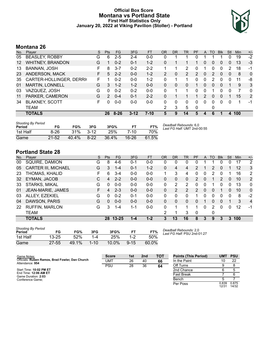### **Official Box Score Montana vs Portland State First Half Statistics Only January 20, 2022 at Viking Pavilion (Stoller) - Portland**



# **Montana 26**

| No. | Player                   | S  | <b>Pts</b> | <b>FG</b> | 3FG      | <b>FT</b> | <b>OR</b>      | <b>DR</b> | TR                    | <b>PF</b>      | A            | TO | <b>B</b> lk | Stl | Min | $+/-$        |
|-----|--------------------------|----|------------|-----------|----------|-----------|----------------|-----------|-----------------------|----------------|--------------|----|-------------|-----|-----|--------------|
| 05  | <b>BEASLEY, ROBBY</b>    | G  | 6          | $2 - 5$   | $2 - 4$  | $0 - 0$   | 0              |           |                       | 0              |              |    |             | 0   | 19  | $-2$         |
| 12  | <b>WHITNEY, BRANDON</b>  | G  |            | $0 - 2$   | $0 - 1$  | $1 - 2$   | 0              |           |                       |                | 0            | 0  | 0           | 0   | 13  | $-3$         |
| 13  | <b>BANNAN, JOSH</b>      |    | 8          | $3 - 7$   | $0 - 2$  | $2 - 2$   | 1              |           | 2                     | 0              |              | 0  |             | 2   | 18  | $-1$         |
| 23  | ANDERSON, MACK           | F. | 5          | $2 - 2$   | $0 - 0$  | $1 - 2$   | $\overline{2}$ | 0         | $\mathbf{2}^{\prime}$ | $\overline{2}$ | $\mathbf{0}$ | 2  | 0           | 0   | 8   | $\mathbf{0}$ |
| 35  | CARTER-HOLLINGER, DERRIG | F  |            | $0 - 2$   | $0 - 0$  | $1 - 2$   | 0              |           |                       | 0              | 0            | 2  | 0           | 0   | 11  | -8           |
| 01  | <b>MARTIN, LONNELL</b>   | G  | 3          | $1 - 2$   | $1 - 2$  | $0 - 0$   | 0              | 0         | 0                     |                | $\Omega$     | 0  | 0           |     | 9   | 3            |
| 03  | VAZQUEZ, JOSH            | G  | 0          | $0 - 2$   | $0 - 2$  | $0 - 0$   | 0              |           |                       | 0              | 0            |    | 0           | 0   | 7   | $\mathbf{0}$ |
| 11  | PARKER, CAMERON          | G  | 2          | $0 - 4$   | $0 - 1$  | $2 - 2$   | 0              |           |                       |                | 2            | 0  | 0           |     | 15  | 2            |
| 34  | <b>BLAKNEY, SCOTT</b>    | F  | 0          | $0 - 0$   | $0 - 0$  | $0 - 0$   | 0              | 0         | 0                     | 0              | $\Omega$     | 0  | 0           | 0   |     | $-1$         |
|     | <b>TEAM</b>              |    |            |           |          |           | 2              | 3         | 5                     | 0              |              | 0  |             |     |     |              |
|     | <b>TOTALS</b>            |    | 26         | $8 - 26$  | $3 - 12$ | $7-10$    | 5              | 9         | 14                    | 5              | 4            | 6  |             | 4   | 100 |              |

| Shooting By Period<br>Period | FG        | FG%      | 3FG    | 3FG%  | FT.       | FT%   | Deadball Rebounds: 6,0<br>Last FG Half: UMT 2nd-00:55 |
|------------------------------|-----------|----------|--------|-------|-----------|-------|-------------------------------------------------------|
| 1st Half                     | $8 - 26$  | 31%      | $3-12$ | 25%   | 7-10      | 70%   |                                                       |
| Game                         | $21 - 52$ | $40.4\%$ | $8-22$ | 36.4% | $16 - 26$ | 61.5% |                                                       |

# **Portland State 28**

| No. | Plaver                     | S  | <b>Pts</b> | FG        | 3FG     | <b>FT</b> | <b>OR</b> | DR | TR             | PF | A        | TO | <b>Blk</b> | Stl | Min | $+/-$          |
|-----|----------------------------|----|------------|-----------|---------|-----------|-----------|----|----------------|----|----------|----|------------|-----|-----|----------------|
| 00  | SQUIRE, DAMION             | G  | 8          | 4-6       | $0 - 1$ | $0 - 0$   | 0         | 0  | 0              | 0  |          |    | 0          | 0   | 17  | $\overline{2}$ |
| 05  | <b>CARTER III, MICHAEL</b> | G  | 3          | 1-4       | $0 - 1$ | $1 - 2$   | 0         | 4  | 4              | 2  |          | 2  | $\Omega$   |     | 12  | 3              |
| 23  | THOMAS, KHALID             | F  | 6          | $3 - 4$   | $0 - 0$ | $0-0$     | 1.        | 3  | 4              | 0  | 0        | 2  | 0          |     | 16  | $\overline{2}$ |
| 32  | EYMAN, JACOB               | С  | 4          | $2 - 2$   | $0 - 0$ | $0 - 0$   | 0         | 0  | 0              | 2  | 0        |    | 2          | 0   | 10  | 2              |
| 33  | <b>STARKS, MIKAL</b>       | G  | 0          | $0-0$     | $0 - 0$ | $0 - 0$   | 0         | 2  | 2              | O  | 0        |    | 0          | 0   | 13  | 0              |
| 01  | JEAN-MARIE, JAMES          | F. | 4          | $2 - 3$   | $0 - 0$ | $0 - 0$   | 0         | 2  | $\overline{2}$ | 2  | 0        | 0  |            | 0   | 10  | $\mathbf{0}$   |
| 03  | ALLEY, EZEKIEL             | G  | $\Omega$   | $0 - 2$   | $0 - 1$ | $0 - 0$   | 0         | 0  | 0              |    | 0        | 0  | 0          | 0   | 8   | -2             |
| 04  | DAWSON, PARIS              | G  | $\Omega$   | $0 - 0$   | $0 - 0$ | $0 - 0$   | 0         | 0  | 0              | 0  |          | 0  | 0          |     | 3   | 4              |
| 22  | <b>RUFFIN, MARLON</b>      | G  | 3          | 1-4       | $1 - 1$ | $0 - 0$   | 0         |    |                |    | $\Omega$ | 2  | 0          | 0   | 12  | $-1$           |
|     | <b>TEAM</b>                |    |            |           |         |           | 2         |    | 3              | 0  |          | 0  |            |     |     |                |
|     | <b>TOTALS</b>              |    | 28         | $13 - 25$ | 1-4     | $1 - 2$   | 3         | 13 | 16             | 8  | 3        | 9  | З          | 3   | 100 |                |

| <b>Shooting By Period</b><br>Period | FG        | FG%   | 3FG      | 3FG%     |          | FT%   |
|-------------------------------------|-----------|-------|----------|----------|----------|-------|
| 1st Half                            | $13 - 25$ | 52%   | $-4$     | 25%      | 1-2      | 50%   |
| Game                                | 27-55     | 49.1% | $1 - 10$ | $10.0\%$ | $9 - 15$ | 60.0% |

*Deadball Rebounds:* 2,0 *Last FG Half:* PSU 2nd-01:27

| Game Notes:                                                        | <b>Score</b> | 1st | 2 <sub>nd</sub> | TOT | <b>Points (This Period)</b> | UMT            | <b>PSU</b>     |
|--------------------------------------------------------------------|--------------|-----|-----------------|-----|-----------------------------|----------------|----------------|
| Officials: Ruben Ramos, Brad Fowler, Dan Church<br>Attendance: 954 | UMT          | 26  | 40              | 66  | In the Paint                |                | 22             |
|                                                                    | PSU          | 28  | 36              | 64  | Off Turns                   |                |                |
| Start Time: 10:02 PM ET                                            |              |     |                 |     | 2nd Chance                  |                |                |
| End Time: 12:06 AM ET<br>Game Duration: 2:03                       |              |     |                 |     | <b>Fast Break</b>           |                |                |
| Conference Game:                                                   |              |     |                 |     | Bench                       |                |                |
|                                                                    |              |     |                 |     | Per Poss                    | 0.839<br>12/31 | 0.875<br>14/32 |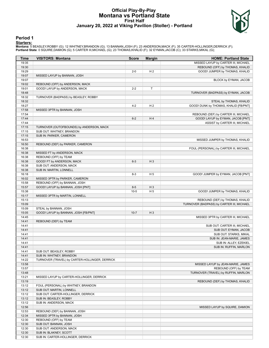#### **Official Play-By-Play Montana vs Portland State First Half January 20, 2022 at Viking Pavilion (Stoller) - Portland**



#### **Period 1**

<mark>Starters:</mark><br>Montana: 5 BEASLEY,ROBBY (G); 12 WHITNEY,BRANDON (G); 13 BANNAN,JOSH (F); 23 ANDERSON,MACK (F); 35 CARTER-HOLLINGER,DERRICK (F);<br>**Portland State**: 0 SQUIRE,DAMION (G); 5 CARTER III,MICHAEL (G); 23 THOMAS,KHALID

| Time           | <b>VISITORS: Montana</b>                                                   | <b>Score</b> | <b>Margin</b>  | <b>HOME: Portland State</b>               |
|----------------|----------------------------------------------------------------------------|--------------|----------------|-------------------------------------------|
| 19:35          |                                                                            |              |                | MISSED LAYUP by CARTER III, MICHAEL       |
| 19:30          |                                                                            |              |                | REBOUND (OFF) by THOMAS, KHALID           |
| 19:29          |                                                                            | $2 - 0$      | H <sub>2</sub> | GOOD! JUMPER by THOMAS, KHALID            |
| 19:07          | MISSED LAYUP by BANNAN, JOSH                                               |              |                |                                           |
| 19:07          |                                                                            |              |                | BLOCK by EYMAN, JACOB                     |
| 19:02          | REBOUND (OFF) by ANDERSON, MACK                                            |              |                |                                           |
| 19:01          | GOOD! LAYUP by ANDERSON, MACK                                              | $2 - 2$      | T              |                                           |
| 18:48          |                                                                            |              |                | TURNOVER (BADPASS) by EYMAN, JACOB        |
| 18:32          | TURNOVER (BADPASS) by BEASLEY, ROBBY                                       |              |                |                                           |
| 18:32          |                                                                            |              |                | STEAL by THOMAS, KHALID                   |
| 18:27          |                                                                            | $4 - 2$      | H <sub>2</sub> | GOOD! DUNK by THOMAS, KHALID [FB/PNT]     |
| 17:58          | MISSED 3PTR by BANNAN, JOSH                                                |              |                |                                           |
| 17:54          |                                                                            |              |                | REBOUND (DEF) by CARTER III, MICHAEL      |
| 17:44          |                                                                            | $6 - 2$      | H4             | GOOD! LAYUP by EYMAN, JACOB [PNT]         |
| 17:44          |                                                                            |              |                | ASSIST by CARTER III, MICHAEL             |
| 17:15          | TURNOVER (OUTOFBOUNDS) by ANDERSON, MACK                                   |              |                |                                           |
| 17:15          | SUB OUT: WHITNEY, BRANDON                                                  |              |                |                                           |
| 17:15          | SUB IN: PARKER, CAMERON                                                    |              |                |                                           |
| 16:53<br>16:50 | REBOUND (DEF) by PARKER, CAMERON                                           |              |                | MISSED JUMPER by THOMAS, KHALID           |
| 16:38          |                                                                            |              |                | FOUL (PERSONAL) by CARTER III, MICHAEL    |
| 16:38          | MISSED FT by ANDERSON, MACK                                                |              |                |                                           |
| 16:38          | REBOUND (OFF) by TEAM                                                      |              |                |                                           |
| 16:38          | GOOD! FT by ANDERSON, MACK                                                 | $6 - 3$      | $H_3$          |                                           |
| 16:38          | SUB OUT: ANDERSON, MACK                                                    |              |                |                                           |
| 16:38          | SUB IN: MARTIN, LONNELL                                                    |              |                |                                           |
| 16:18          |                                                                            | $8-3$        | H <sub>5</sub> | GOOD! JUMPER by EYMAN, JACOB [PNT]        |
| 16:02          | MISSED 3PTR by PARKER, CAMERON                                             |              |                |                                           |
| 15:58          | REBOUND (OFF) by BANNAN, JOSH                                              |              |                |                                           |
| 15:57          | GOOD! LAYUP by BANNAN, JOSH [PNT]                                          | $8 - 5$      | $H_3$          |                                           |
| 15:38          |                                                                            | $10 - 5$     | H <sub>5</sub> | GOOD! JUMPER by THOMAS, KHALID            |
| 15:17          | MISSED 3PTR by MARTIN, LONNELL                                             |              |                |                                           |
| 15:13          |                                                                            |              |                | REBOUND (DEF) by THOMAS, KHALID           |
| 15:09          |                                                                            |              |                | TURNOVER (BADPASS) by CARTER III, MICHAEL |
| 15:09          | STEAL by BANNAN, JOSH                                                      |              |                |                                           |
| 15:05          | GOOD! LAYUP by BANNAN, JOSH [FB/PNT]                                       | $10-7$       | $H_3$          |                                           |
| 14:45          |                                                                            |              |                | MISSED 3PTR by CARTER III, MICHAEL        |
| 14:41          | REBOUND (DEF) by TEAM                                                      |              |                |                                           |
| 14:41          |                                                                            |              |                | SUB OUT: CARTER III, MICHAEL              |
| 14:41          |                                                                            |              |                | SUB OUT: EYMAN, JACOB                     |
| 14:41          |                                                                            |              |                | SUB OUT: STARKS, MIKAL                    |
| 14:41          |                                                                            |              |                | SUB IN: JEAN-MARIE, JAMES                 |
| 14:41          |                                                                            |              |                | SUB IN: ALLEY, EZEKIEL                    |
| 14:41          |                                                                            |              |                | SUB IN: RUFFIN, MARLON                    |
| 14:41          | SUB OUT: BEASLEY, ROBBY                                                    |              |                |                                           |
| 14:41<br>14:22 | SUB IN: WHITNEY, BRANDON<br>TURNOVER (TRAVEL) by CARTER-HOLLINGER, DERRICK |              |                |                                           |
| 13:58          |                                                                            |              |                | MISSED LAYUP by JEAN-MARIE, JAMES         |
| 13:57          |                                                                            |              |                | REBOUND (OFF) by TEAM                     |
| 13:48          |                                                                            |              |                | TURNOVER (TRAVEL) by RUFFIN, MARLON       |
| 13:21          | MISSED LAYUP by CARTER-HOLLINGER, DERRICK                                  |              |                |                                           |
| 13:19          |                                                                            |              |                | REBOUND (DEF) by THOMAS, KHALID           |
| 13:12          | FOUL (PERSONAL) by WHITNEY, BRANDON                                        |              |                |                                           |
| 13:12          | SUB OUT: MARTIN, LONNELL                                                   |              |                |                                           |
| 13:12          | SUB OUT: CARTER-HOLLINGER, DERRICK                                         |              |                |                                           |
| 13:12          | SUB IN: BEASLEY, ROBBY                                                     |              |                |                                           |
| 13:12          | SUB IN: ANDERSON, MACK                                                     |              |                |                                           |
| 12:56          |                                                                            |              |                | MISSED LAYUP by SQUIRE, DAMION            |
| 12:53          | REBOUND (DEF) by BANNAN, JOSH                                              |              |                |                                           |
| 12:34          | MISSED 3PTR by BANNAN, JOSH                                                |              |                |                                           |
| 12:30          | REBOUND (OFF) by TEAM                                                      |              |                |                                           |
| 12:30          | SUB OUT: BANNAN, JOSH                                                      |              |                |                                           |
| 12:30          | SUB OUT: ANDERSON, MACK                                                    |              |                |                                           |
| 12:30          | SUB IN: BLAKNEY, SCOTT                                                     |              |                |                                           |
| 12:30          | SUB IN: CARTER-HOLLINGER, DERRICK                                          |              |                |                                           |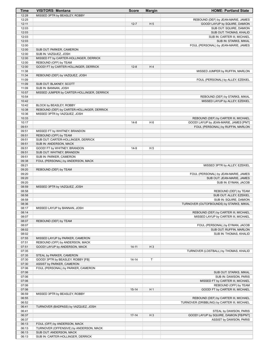| Time           | <b>VISITORS: Montana</b>                                              | <b>Score</b> | <b>Margin</b>  | <b>HOME: Portland State</b>                                        |
|----------------|-----------------------------------------------------------------------|--------------|----------------|--------------------------------------------------------------------|
| 12:28          | MISSED 3PTR by BEASLEY, ROBBY                                         |              |                |                                                                    |
| 12:25          |                                                                       |              |                | REBOUND (DEF) by JEAN-MARIE, JAMES                                 |
| 12:11          |                                                                       | $12 - 7$     | H <sub>5</sub> | GOOD! LAYUP by SQUIRE, DAMION                                      |
| 12:03<br>12:03 |                                                                       |              |                | SUB OUT: SQUIRE, DAMION<br>SUB OUT: THOMAS, KHALID                 |
| 12:03          |                                                                       |              |                | SUB IN: CARTER III, MICHAEL                                        |
| 12:03          |                                                                       |              |                | SUB IN: STARKS, MIKAL                                              |
| 12:00          |                                                                       |              |                | FOUL (PERSONAL) by JEAN-MARIE, JAMES                               |
| 12:00          | SUB OUT: PARKER, CAMERON                                              |              |                |                                                                    |
| 12:00          | SUB IN: VAZQUEZ, JOSH                                                 |              |                |                                                                    |
| 12:00          | MISSED FT by CARTER-HOLLINGER, DERRICK                                |              |                |                                                                    |
| 12:00          | REBOUND (OFF) by TEAM                                                 |              |                |                                                                    |
| 12:00<br>11:38 | GOOD! FT by CARTER-HOLLINGER, DERRICK                                 | $12 - 8$     | H4             |                                                                    |
| 11:34          | REBOUND (DEF) by VAZQUEZ, JOSH                                        |              |                | MISSED JUMPER by RUFFIN, MARLON                                    |
| 11:09          |                                                                       |              |                | FOUL (PERSONAL) by ALLEY, EZEKIEL                                  |
| 11:09          | SUB OUT: BLAKNEY, SCOTT                                               |              |                |                                                                    |
| 11:09          | SUB IN: BANNAN, JOSH                                                  |              |                |                                                                    |
| 10:57          | MISSED JUMPER by CARTER-HOLLINGER, DERRICK                            |              |                |                                                                    |
| 10:54          |                                                                       |              |                | REBOUND (DEF) by STARKS, MIKAL                                     |
| 10:42          |                                                                       |              |                | MISSED LAYUP by ALLEY, EZEKIEL                                     |
| 10:42<br>10:38 | BLOCK by BEASLEY, ROBBY<br>REBOUND (DEF) by CARTER-HOLLINGER, DERRICK |              |                |                                                                    |
| 10:36          | MISSED 3PTR by VAZQUEZ, JOSH                                          |              |                |                                                                    |
| 10:33          |                                                                       |              |                | REBOUND (DEF) by CARTER III, MICHAEL                               |
| 10:17          |                                                                       | $14 - 8$     | H <sub>6</sub> | GOOD! LAYUP by JEAN-MARIE, JAMES [PNT]                             |
| 09:51          |                                                                       |              |                | FOUL (PERSONAL) by RUFFIN, MARLON                                  |
| 09:51          | MISSED FT by WHITNEY, BRANDON                                         |              |                |                                                                    |
| 09:51          | REBOUND (OFF) by TEAM                                                 |              |                |                                                                    |
| 09:51          | SUB OUT: CARTER-HOLLINGER, DERRICK                                    |              |                |                                                                    |
| 09:51<br>09:51 | SUB IN: ANDERSON, MACK<br>GOOD! FT by WHITNEY, BRANDON                | $14-9$       | H <sub>5</sub> |                                                                    |
| 09:51          | SUB OUT: WHITNEY, BRANDON                                             |              |                |                                                                    |
| 09:51          | SUB IN: PARKER, CAMERON                                               |              |                |                                                                    |
| 09:38          | FOUL (PERSONAL) by ANDERSON, MACK                                     |              |                |                                                                    |
| 09:21          |                                                                       |              |                | MISSED 3PTR by ALLEY, EZEKIEL                                      |
| 09:20          | REBOUND (DEF) by TEAM                                                 |              |                |                                                                    |
| 09:20<br>09:20 |                                                                       |              |                | FOUL (PERSONAL) by JEAN-MARIE, JAMES<br>SUB OUT: JEAN-MARIE, JAMES |
| 09:20          |                                                                       |              |                | SUB IN: EYMAN, JACOB                                               |
| 08:59          | MISSED 3PTR by VAZQUEZ, JOSH                                          |              |                |                                                                    |
| 08:58          |                                                                       |              |                | REBOUND (DEF) by TEAM                                              |
| 08:58          |                                                                       |              |                | SUB OUT: ALLEY, EZEKIEL                                            |
| 08:58          |                                                                       |              |                | SUB IN: SQUIRE, DAMION                                             |
| 08:36<br>08:17 | MISSED LAYUP by BANNAN, JOSH                                          |              |                | TURNOVER (OUTOFBOUNDS) by STARKS, MIKAL                            |
| 08:14          |                                                                       |              |                | REBOUND (DEF) by CARTER III, MICHAEL                               |
| 08:07          |                                                                       |              |                | MISSED LAYUP by CARTER III, MICHAEL                                |
| 08:07          | REBOUND (DEF) by TEAM                                                 |              |                |                                                                    |
| 08:07          |                                                                       |              |                | FOUL (PERSONAL) by EYMAN, JACOB                                    |
| 08:02          |                                                                       |              |                | SUB OUT: RUFFIN, MARLON                                            |
| 08:02          |                                                                       |              |                | SUB IN: THOMAS, KHALID                                             |
| 07:55          | MISSED LAYUP by PARKER, CAMERON                                       |              |                |                                                                    |
| 07:51<br>07:51 | REBOUND (OFF) by ANDERSON, MACK<br>GOOD! LAYUP by ANDERSON, MACK      | $14 - 11$    | $H_3$          |                                                                    |
| 07:35          |                                                                       |              |                | TURNOVER (LOSTBALL) by THOMAS, KHALID                              |
| 07:35          | STEAL by PARKER, CAMERON                                              |              |                |                                                                    |
| 07:30          | GOOD! 3PTR by BEASLEY, ROBBY [FB]                                     | $14 - 14$    | Τ              |                                                                    |
| 07:30          | ASSIST by PARKER, CAMERON                                             |              |                |                                                                    |
| 07:06          | FOUL (PERSONAL) by PARKER, CAMERON                                    |              |                |                                                                    |
| 07:06          |                                                                       |              |                | SUB OUT: STARKS, MIKAL                                             |
| 07:06<br>07:06 |                                                                       |              |                | SUB IN: DAWSON, PARIS<br>MISSED FT by CARTER III, MICHAEL          |
| 07:06          |                                                                       |              |                | REBOUND (OFF) by TEAM                                              |
| 07:06          |                                                                       | $15 - 14$    | H <sub>1</sub> | GOOD! FT by CARTER III, MICHAEL                                    |
| 06:59          | MISSED 3PTR by BEASLEY, ROBBY                                         |              |                |                                                                    |
| 06:55          |                                                                       |              |                | REBOUND (DEF) by CARTER III, MICHAEL                               |
| 06:52          |                                                                       |              |                | TURNOVER (DRIBBLING) by CARTER III, MICHAEL                        |
| 06:41          | TURNOVER (BADPASS) by VAZQUEZ, JOSH                                   |              |                |                                                                    |
| 06:41<br>06:37 |                                                                       | $17 - 14$    | $H_3$          | STEAL by DAWSON, PARIS<br>GOOD! LAYUP by SQUIRE, DAMION [FB/PNT]   |
| 06:37          |                                                                       |              |                | ASSIST by DAWSON, PARIS                                            |
| 06:13          | FOUL (OFF) by ANDERSON, MACK                                          |              |                |                                                                    |
| 06:13          | TURNOVER (OFFENSIVE) by ANDERSON, MACK                                |              |                |                                                                    |
| 06:13          | SUB OUT: ANDERSON, MACK                                               |              |                |                                                                    |
| 06:13          | SUB IN: CARTER-HOLLINGER, DERRICK                                     |              |                |                                                                    |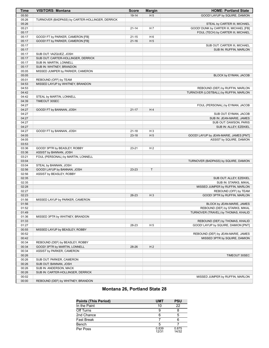| Time           | <b>VISITORS: Montana</b>                                     | <b>Score</b> | <b>Margin</b>  | <b>HOME: Portland State</b>                                         |
|----------------|--------------------------------------------------------------|--------------|----------------|---------------------------------------------------------------------|
| 05:50          |                                                              | $19-14$      | H <sub>5</sub> | GOOD! LAYUP by SQUIRE, DAMION                                       |
| 05:26          | TURNOVER (BADPASS) by CARTER-HOLLINGER, DERRICK              |              |                |                                                                     |
| 05:26          |                                                              |              |                | STEAL by CARTER III, MICHAEL                                        |
| 05:21          |                                                              | $21 - 14$    | H 7            | GOOD! DUNK by CARTER III, MICHAEL [FB]                              |
| 05:17          |                                                              |              |                | FOUL (TECH) by CARTER III, MICHAEL                                  |
| 05:17          | GOOD! FT by PARKER, CAMERON [FB]                             | 21-15        | H <sub>6</sub> |                                                                     |
| 05:17          | GOOD! FT by PARKER, CAMERON [FB]                             | $21 - 16$    | H <sub>5</sub> |                                                                     |
| 05:17          |                                                              |              |                | SUB OUT: CARTER III, MICHAEL                                        |
| 05:17          |                                                              |              |                | SUB IN: RUFFIN, MARLON                                              |
| 05:17          | SUB OUT: VAZQUEZ, JOSH                                       |              |                |                                                                     |
| 05:17          | SUB OUT: CARTER-HOLLINGER, DERRICK                           |              |                |                                                                     |
| 05:17<br>05:17 | SUB IN: MARTIN, LONNELL<br>SUB IN: WHITNEY, BRANDON          |              |                |                                                                     |
| 05:05          | MISSED JUMPER by PARKER, CAMERON                             |              |                |                                                                     |
| 05:05          |                                                              |              |                | BLOCK by EYMAN, JACOB                                               |
| 05:01          | REBOUND (OFF) by TEAM                                        |              |                |                                                                     |
| 04:53          | MISSED LAYUP by WHITNEY, BRANDON                             |              |                |                                                                     |
| 04:53          |                                                              |              |                | REBOUND (DEF) by RUFFIN, MARLON                                     |
| 04:42          |                                                              |              |                | TURNOVER (LOSTBALL) by RUFFIN, MARLON                               |
| 04:42          | STEAL by MARTIN, LONNELL                                     |              |                |                                                                     |
| 04:39          | TIMEOUT 30SEC                                                |              |                |                                                                     |
| 04:27          |                                                              |              |                | FOUL (PERSONAL) by EYMAN, JACOB                                     |
| 04:27          | GOOD! FT by BANNAN, JOSH                                     | $21 - 17$    | H4             |                                                                     |
| 04:27          |                                                              |              |                | SUB OUT: EYMAN, JACOB                                               |
| 04:27          |                                                              |              |                | SUB IN: JEAN-MARIE, JAMES                                           |
| 04:27          |                                                              |              |                | SUB OUT: DAWSON, PARIS                                              |
| 04:27          |                                                              |              |                | SUB IN: ALLEY, EZEKIEL                                              |
| 04:27          | GOOD! FT by BANNAN, JOSH                                     | $21 - 18$    | H <sub>3</sub> |                                                                     |
| 04:05          |                                                              | $23 - 18$    | H <sub>5</sub> | GOOD! LAYUP by JEAN-MARIE, JAMES [PNT]                              |
| 04:05          |                                                              |              |                | ASSIST by SQUIRE, DAMION                                            |
| 03:53          |                                                              |              |                |                                                                     |
| 03:36          | GOOD! 3PTR by BEASLEY, ROBBY                                 | 23-21        | H <sub>2</sub> |                                                                     |
| 03:36<br>03:21 | ASSIST by BANNAN, JOSH<br>FOUL (PERSONAL) by MARTIN, LONNELL |              |                |                                                                     |
| 03:04          |                                                              |              |                | TURNOVER (BADPASS) by SQUIRE, DAMION                                |
| 03:04          | STEAL by BANNAN, JOSH                                        |              |                |                                                                     |
| 02:56          | GOOD! LAYUP by BANNAN, JOSH                                  | 23-23        | $\mathsf T$    |                                                                     |
| 02:56          | ASSIST by BEASLEY, ROBBY                                     |              |                |                                                                     |
| 02:35          |                                                              |              |                | SUB OUT: ALLEY, EZEKIEL                                             |
| 02:35          |                                                              |              |                | SUB IN: STARKS, MIKAL                                               |
| 02:28          |                                                              |              |                | MISSED JUMPER by RUFFIN, MARLON                                     |
| 02:27          |                                                              |              |                | REBOUND (OFF) by TEAM                                               |
| 02:23          |                                                              | 26-23        | $H_3$          | GOOD! 3PTR by RUFFIN, MARLON                                        |
| 01:56          | MISSED LAYUP by PARKER, CAMERON                              |              |                |                                                                     |
| 01:56          |                                                              |              |                | BLOCK by JEAN-MARIE, JAMES                                          |
| 01:52          |                                                              |              |                | REBOUND (DEF) by STARKS, MIKAL                                      |
| 01:49          |                                                              |              |                | TURNOVER (TRAVEL) by THOMAS, KHALID                                 |
| 01:36          | MISSED 3PTR by WHITNEY, BRANDON                              |              |                |                                                                     |
| 01:33          |                                                              |              |                | REBOUND (DEF) by THOMAS, KHALID                                     |
| 01:27          |                                                              | 28-23        | H <sub>5</sub> | GOOD! LAYUP by SQUIRE, DAMION [PNT]                                 |
| 00:55          | MISSED LAYUP by BEASLEY, ROBBY                               |              |                |                                                                     |
| 00:52<br>00:42 |                                                              |              |                | REBOUND (DEF) by JEAN-MARIE, JAMES<br>MISSED 3PTR by SQUIRE, DAMION |
| 00:34          | REBOUND (DEF) by BEASLEY, ROBBY                              |              |                |                                                                     |
| 00:34          | GOOD! 3PTR by MARTIN, LONNELL                                | 28-26        | H <sub>2</sub> |                                                                     |
| 00:34          | ASSIST by PARKER, CAMERON                                    |              |                |                                                                     |
| 00:26          |                                                              |              |                | TIMEOUT 30SEC                                                       |
| 00:26          | SUB OUT: PARKER, CAMERON                                     |              |                |                                                                     |
| 00:26          | SUB OUT: BANNAN, JOSH                                        |              |                |                                                                     |
| 00:26          | SUB IN: ANDERSON, MACK                                       |              |                |                                                                     |
| 00:26          | SUB IN: CARTER-HOLLINGER, DERRICK                            |              |                |                                                                     |
| 00:02          |                                                              |              |                | MISSED JUMPER by RUFFIN, MARLON                                     |
| 00:00          | REBOUND (DEF) by WHITNEY, BRANDON                            |              |                |                                                                     |
|                |                                                              |              |                |                                                                     |

# **Montana 26, Portland State 28**

| <b>Points (This Period)</b> | <b>UMT</b>     | <b>PSU</b>     |
|-----------------------------|----------------|----------------|
| In the Paint                | 10             | 22             |
| Off Turns                   |                |                |
| 2nd Chance                  |                | 5              |
| <b>Fast Break</b>           |                |                |
| Bench                       | 5              |                |
| Per Poss                    | 0.839<br>12/31 | 0.875<br>14/32 |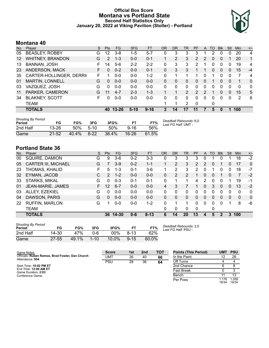### **Official Box Score Montana vs Portland State Second Half Statistics Only January 20, 2022 at Viking Pavilion (Stoller) - Portland**



# **Montana 40**

| No.               | Plaver                   | S  | <b>Pts</b>    | <b>FG</b> | 3FG     | <b>FT</b> | <b>OR</b> | <b>DR</b> | TR             | PF            | A | TO | <b>B</b> lk  | Stl | Min | $+/-$        |
|-------------------|--------------------------|----|---------------|-----------|---------|-----------|-----------|-----------|----------------|---------------|---|----|--------------|-----|-----|--------------|
| 05                | <b>BEASLEY, ROBBY</b>    | G  | 12            | $3 - 8$   | $1 - 5$ | $5 - 7$   | 0         | 3         | 3              | 3             |   | 2  | 0            | 0   | 20  | 4            |
| $12 \overline{ }$ | <b>WHITNEY, BRANDON</b>  | G  | $\mathcal{P}$ | $1 - 3$   | $0 - 0$ | $0 - 1$   |           | 2         | 3              | $\mathcal{P}$ | 2 | 0  | $\mathbf{0}$ |     | 20  | $\mathbf{1}$ |
| 13                | BANNAN, JOSH             |    | 4             | $5-6$     | $2 - 2$ | $2 - 2$   | 0         | 3         | 3              | 2             | 1 | 0  | 0            | 0   | 19  | 4            |
| 23                | ANDERSON, MACK           | F. | 0             | $0 - 2$   | $0 - 0$ | $0 - 1$   | $\Omega$  | 3         | 3              |               | 1 | 0  | $\Omega$     | 0   | 15  | $-4$         |
| 35                | CARTER-HOLLINGER, DERRIG | F  |               | $0 - 0$   | $0 - 0$ | $1 - 2$   | 0         |           |                |               | 0 |    | 0            | 0   | 7   | 4            |
| 01                | <b>MARTIN, LONNELL</b>   | G  | 0             | $0 - 0$   | $0 - 0$ | $0 - 0$   | 0         | 0         | $\Omega$       | 0             | 0 |    | 0            | 0   |     | $\Omega$     |
| 03                | VAZQUEZ, JOSH            | G  | 0             | $0 - 0$   | $0 - 0$ | $0-0$     | 0         | 0         | $\Omega$       | 0             | 0 | 0  | 0            | 0   | 0   | 0            |
| 11                | PARKER, CAMERON          | G  | 11            | $4 - 7$   | $2 - 3$ | $1 - 3$   | 1.        |           | $\overline{2}$ | $\mathcal{P}$ | 2 |    | 0            | 0   | 15  | 5            |
| 34                | <b>BLAKNEY, SCOTT</b>    | F  | 0             | $0-0$     | $0 - 0$ | $0 - 0$   | 0         | 0         | 0              | 0             | 0 | 0  | 0            | 0   | 2   | -6           |
|                   | TEAM                     |    |               |           |         |           | 1         |           | $\overline{2}$ | $\Omega$      |   | 0  |              |     |     |              |
|                   | <b>TOTALS</b>            |    | 40            | 13-26     | $5-10$  | $9 - 16$  | 3         | 14        | 17             | 11            |   | 5  | 0            |     | 100 |              |

| <b>Shooting By Period</b><br>Period | FG        | FG%      | 3FG    | 3FG%  |          | FT%   | Deadball Rebounds: 6,0<br>Last FG Half: UMT - |
|-------------------------------------|-----------|----------|--------|-------|----------|-------|-----------------------------------------------|
| 2nd Half                            | 13-26     | 50%      | 5-10   | .50%  | $9 - 16$ | .56%  |                                               |
| Game                                | $21 - 52$ | $40.4\%$ | $8-22$ | 36.4% | $16-26$  | 61.5% |                                               |

# **Portland State 36**

| No. | Plaver                     | S  | <b>Pts</b>    | FG       | 3FG     | <b>FT</b> | <b>OR</b> | <b>DR</b> | TR             | PF       | A            | TO. | <b>B</b> lk  | Stl      | Min | $+/-$        |
|-----|----------------------------|----|---------------|----------|---------|-----------|-----------|-----------|----------------|----------|--------------|-----|--------------|----------|-----|--------------|
| 00  | SQUIRE, DAMION             | G  | 9             | $3-6$    | $0 - 2$ | $3 - 3$   | 0         | 3         | 3              | 3        | 0            |     | 0            |          | 18  | $-2$         |
| 05  | <b>CARTER III, MICHAEL</b> | G  | 7             | $3-9$    | $0 - 2$ | $1 - 1$   |           | 2         | 3              | 2        | 2            | 0   |              | 0        | 17  | $\mathbf{0}$ |
| 23  | THOMAS, KHALID             | F  | 5.            | $1 - 3$  | $0 - 1$ | $3-6$     |           | 2         | 3              | 2        | 0            |     | 0            | 0        | 18  | $-7$         |
| 32  | EYMAN, JACOB               | С  | $\mathcal{P}$ | $1 - 2$  | $0 - 0$ | $0 - 0$   | 0         | 2         | $\overline{2}$ |          | 0            | 0   |              | 0        | 7   | $-2$         |
| 33  | STARKS, MIKAL              | G  | 0             | $0 - 3$  | $0 - 1$ | $0 - 1$   | 0         |           |                | 4        | 2            | 0   | 0            |          | 19  | -1           |
| 01  | JEAN-MARIE, JAMES          | F. | 12            | $6 - 7$  | $0 - 0$ | $0 - 0$   | 4         | 3         |                |          | 0            | 3   | $\mathbf{0}$ | 0        | 13  | $-2$         |
| 03  | ALLEY, EZEKIEL             | G  | 0             | $0-0$    | $0 - 0$ | $0 - 0$   | 0         | 0         | $\Omega$       | 0        | 0            | 0   | 0            | 0        | 0   | 0            |
| 04  | DAWSON, PARIS              | G  | 0             | $0 - 0$  | $0 - 0$ | $0 - 0$   | 0         | 0         | 0              | 0        | $\mathbf{0}$ | 0   | $\mathbf{0}$ | $\Omega$ | 0   | $\mathbf{0}$ |
| 22  | <b>RUFFIN, MARLON</b>      | G  | 1             | $0 - 0$  | $0-0$   | $1 - 2$   | 0         |           | 1              | 0        | $\Omega$     | 0   | $\Omega$     |          | 8   | -6           |
|     | <b>TEAM</b>                |    |               |          |         |           | 0         | 0         | 0              | $\Omega$ |              | 0   |              |          |     |              |
|     | <b>TOTALS</b>              |    |               | 36 14-30 | $0 - 6$ | $8 - 13$  | 6         | 14        | 20             | 13       | 4            | 5   | 2            | 3        | 100 |              |
|     |                            |    |               |          |         |           |           |           |                |          |              |     |              |          |     |              |

| <b>Shooting By Period</b><br>Period | FG        | FG%   | 3FG      | 3FG%   | FT       | FT%   |
|-------------------------------------|-----------|-------|----------|--------|----------|-------|
| 2nd Half                            | 14-30     | 47%   | Ი-Ნ      | $00\%$ | $8-13$   | 62%   |
| Game                                | $27 - 55$ | 49.1% | $1 - 10$ | 10.0%  | $9 - 15$ | 60.0% |

*Deadball Rebounds:* 2,0 *Last FG Half:* PSU -

| Game Notes:                                                        | <b>Score</b> | 1st | 2 <sub>nd</sub> | <b>TOT</b> | <b>Points (This Period)</b> | <b>UMT</b>     | <b>PSU</b>     |
|--------------------------------------------------------------------|--------------|-----|-----------------|------------|-----------------------------|----------------|----------------|
| Officials: Ruben Ramos, Brad Fowler, Dan Church<br>Attendance: 954 | UMT          | 26  | 40              | 66         | In the Paint                |                | 28             |
|                                                                    | PSU          | 28  | 36              | 64         | Off Turns                   |                |                |
| Start Time: 10:02 PM ET                                            |              |     |                 |            | 2nd Chance                  |                |                |
| End Time: 12:06 AM ET<br>Game Duration: 2:03                       |              |     |                 |            | <b>Fast Break</b>           |                |                |
| Conference Game:                                                   |              |     |                 |            | Bench                       |                | 13             |
|                                                                    |              |     |                 |            | Per Poss                    | 1.176<br>18/34 | l.059<br>18/34 |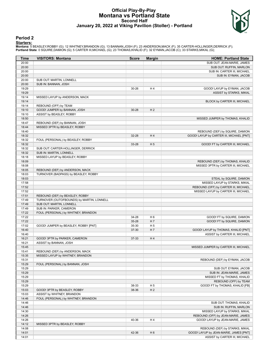#### **Official Play-By-Play Montana vs Portland State Second Half January 20, 2022 at Viking Pavilion (Stoller) - Portland**



#### **Period 2**

<mark>Starters:</mark><br>Montana: 5 BEASLEY,ROBBY (G); 12 WHITNEY,BRANDON (G); 13 BANNAN,JOSH (F); 23 ANDERSON,MACK (F); 35 CARTER-HOLLINGER,DERRICK (F);<br>**Portland State**: 0 SQUIRE,DAMION (G); 5 CARTER III,MICHAEL (G); 23 THOMAS,KHALID

| Time           | <b>VISITORS: Montana</b>                                          | <b>Score</b> | <b>Margin</b>                    | <b>HOME: Portland State</b>                       |
|----------------|-------------------------------------------------------------------|--------------|----------------------------------|---------------------------------------------------|
| 20:00          |                                                                   |              |                                  | SUB OUT: JEAN-MARIE, JAMES                        |
| 20:00          |                                                                   |              |                                  | SUB OUT: RUFFIN, MARLON                           |
| 20:00          |                                                                   |              |                                  | SUB IN: CARTER III, MICHAEL                       |
| 20:00          |                                                                   |              |                                  | SUB IN: EYMAN, JACOB                              |
| 20:00          | SUB OUT: MARTIN, LONNELL                                          |              |                                  |                                                   |
| 20:00          | SUB IN: BANNAN, JOSH                                              |              |                                  |                                                   |
| 19:29          |                                                                   | 30-26        | H4                               | GOOD! LAYUP by EYMAN, JACOB                       |
| 19:29          |                                                                   |              |                                  | ASSIST by STARKS, MIKAL                           |
| 19:14          | MISSED LAYUP by ANDERSON, MACK                                    |              |                                  |                                                   |
| 19:14          |                                                                   |              |                                  | BLOCK by CARTER III, MICHAEL                      |
| 19:14          | REBOUND (OFF) by TEAM                                             |              |                                  |                                                   |
| 19:10          | GOOD! JUMPER by BANNAN, JOSH                                      | 30-28        | H <sub>2</sub>                   |                                                   |
| 19:10          | ASSIST by BEASLEY, ROBBY                                          |              |                                  |                                                   |
| 18:50          |                                                                   |              |                                  | MISSED JUMPER by THOMAS, KHALID                   |
| 18:47          | REBOUND (DEF) by BANNAN, JOSH                                     |              |                                  |                                                   |
| 18:44          | MISSED 3PTR by BEASLEY, ROBBY                                     |              |                                  |                                                   |
| 18:40          |                                                                   |              |                                  | REBOUND (DEF) by SQUIRE, DAMION                   |
| 18:32          |                                                                   | 32-28        | H4                               | GOOD! LAYUP by CARTER III, MICHAEL [PNT]          |
| 18:32          | FOUL (PERSONAL) by BEASLEY, ROBBY                                 |              |                                  |                                                   |
| 18:32          |                                                                   | 33-28        | H <sub>5</sub>                   | GOOD! FT by CARTER III, MICHAEL                   |
| 18:32          | SUB OUT: CARTER-HOLLINGER, DERRICK                                |              |                                  |                                                   |
| 18:32          | SUB IN: MARTIN, LONNELL                                           |              |                                  |                                                   |
| 18:18          | MISSED LAYUP by BEASLEY, ROBBY                                    |              |                                  |                                                   |
| 18:09          |                                                                   |              |                                  | REBOUND (DEF) by THOMAS, KHALID                   |
| 18:08          |                                                                   |              |                                  | MISSED 3PTR by CARTER III, MICHAEL                |
| 18:05          | REBOUND (DEF) by ANDERSON, MACK                                   |              |                                  |                                                   |
| 18:03          | TURNOVER (BADPASS) by BEASLEY, ROBBY                              |              |                                  |                                                   |
| 18:03          |                                                                   |              |                                  | STEAL by SQUIRE, DAMION                           |
| 17:58          |                                                                   |              |                                  | MISSED LAYUP by STARKS, MIKAL                     |
| 17:52          |                                                                   |              |                                  | REBOUND (OFF) by CARTER III, MICHAEL              |
| 17:52          |                                                                   |              |                                  | MISSED LAYUP by CARTER III, MICHAEL               |
| 17:51          | REBOUND (DEF) by BEASLEY, ROBBY                                   |              |                                  |                                                   |
| 17:49          | TURNOVER (OUTOFBOUNDS) by MARTIN, LONNELL                         |              |                                  |                                                   |
| 17:49          | SUB OUT: MARTIN, LONNELL                                          |              |                                  |                                                   |
| 17:49          | SUB IN: PARKER, CAMERON                                           |              |                                  |                                                   |
| 17:22          | FOUL (PERSONAL) by WHITNEY, BRANDON                               |              |                                  |                                                   |
| 17:22          |                                                                   | 34-28        | H <sub>6</sub>                   | GOOD! FT by SQUIRE, DAMION                        |
| 17:22          |                                                                   | $35 - 28$    | H <sub>7</sub>                   | GOOD! FT by SQUIRE, DAMION                        |
| 17:02          | GOOD! JUMPER by BEASLEY, ROBBY [PNT]                              | 35-30        | H <sub>5</sub>                   |                                                   |
| 16:40          |                                                                   | 37-30        | H 7                              | GOOD! LAYUP by THOMAS, KHALID [PNT]               |
| 16:40          |                                                                   |              |                                  | ASSIST by CARTER III, MICHAEL                     |
| 16:21          | GOOD! 3PTR by PARKER, CAMERON                                     | 37-33        | H4                               |                                                   |
| 16:21          | ASSIST by BANNAN, JOSH                                            |              |                                  |                                                   |
| 15:45          |                                                                   |              |                                  | MISSED JUMPER by CARTER III, MICHAEL              |
| 15:41          | REBOUND (DEF) by ANDERSON, MACK                                   |              |                                  |                                                   |
| 15:35          | MISSED LAYUP by WHITNEY, BRANDON                                  |              |                                  |                                                   |
| 15:31          |                                                                   |              |                                  | REBOUND (DEF) by EYMAN, JACOB                     |
| 15:29          | FOUL (PERSONAL) by BANNAN, JOSH                                   |              |                                  |                                                   |
| 15:29          |                                                                   |              |                                  | SUB OUT: EYMAN, JACOB                             |
| 15:29          |                                                                   |              |                                  | SUB IN: JEAN-MARIE, JAMES                         |
| 15:29          |                                                                   |              |                                  | MISSED FT by THOMAS, KHALID                       |
| 15:29          |                                                                   |              |                                  | REBOUND (OFF) by TEAM                             |
| 15:29<br>15:03 | GOOD! 3PTR by BEASLEY, ROBBY                                      | 38-33        | H <sub>5</sub><br>H <sub>2</sub> | GOOD! FT by THOMAS, KHALID [FB]                   |
|                |                                                                   | 38-36        |                                  |                                                   |
| 15:03<br>14:46 | ASSIST by WHITNEY, BRANDON<br>FOUL (PERSONAL) by WHITNEY, BRANDON |              |                                  |                                                   |
|                |                                                                   |              |                                  |                                                   |
| 14:46<br>14:46 |                                                                   |              |                                  | SUB OUT: THOMAS, KHALID<br>SUB IN: RUFFIN, MARLON |
| 14:30          |                                                                   |              |                                  | MISSED LAYUP by STARKS, MIKAL                     |
| 14:26          |                                                                   |              |                                  | REBOUND (OFF) by JEAN-MARIE, JAMES                |
| 14:26          |                                                                   | 40-36        | H <sub>4</sub>                   |                                                   |
| 14:12          |                                                                   |              |                                  | GOOD! LAYUP by JEAN-MARIE, JAMES                  |
| 14:08          | MISSED 3PTR by BEASLEY, ROBBY                                     |              |                                  | REBOUND (DEF) by STARKS, MIKAL                    |
| 14:01          |                                                                   | 42-36        | H <sub>6</sub>                   | GOOD! LAYUP by JEAN-MARIE, JAMES [PNT]            |
| 14:01          |                                                                   |              |                                  | ASSIST by CARTER III, MICHAEL                     |
|                |                                                                   |              |                                  |                                                   |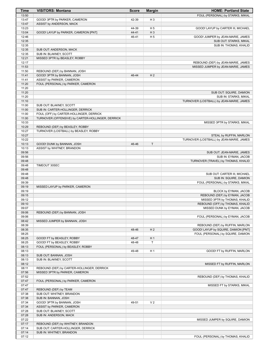| <b>Time</b>    | <b>VISITORS: Montana</b>                                       | <b>Score</b>   | <b>Margin</b>                    | <b>HOME: Portland State</b>                                              |
|----------------|----------------------------------------------------------------|----------------|----------------------------------|--------------------------------------------------------------------------|
| 13:50          |                                                                |                |                                  | FOUL (PERSONAL) by STARKS, MIKAL                                         |
| 13:47          | GOOD! 3PTR by PARKER, CAMERON                                  | 42-39          | H <sub>3</sub>                   |                                                                          |
| 13:47          | ASSIST by ANDERSON, MACK                                       |                |                                  |                                                                          |
| 13:23<br>13:04 | GOOD! LAYUP by PARKER, CAMERON [PNT]                           | 44-39<br>44-41 | H <sub>5</sub><br>H <sub>3</sub> | GOOD! LAYUP by CARTER III, MICHAEL                                       |
| 12:46          |                                                                | 46-41          | H <sub>5</sub>                   | GOOD! JUMPER by JEAN-MARIE, JAMES                                        |
| 12:35          |                                                                |                |                                  | SUB OUT: STARKS, MIKAL                                                   |
| 12:35          |                                                                |                |                                  | SUB IN: THOMAS, KHALID                                                   |
| 12:35          | SUB OUT: ANDERSON, MACK                                        |                |                                  |                                                                          |
| 12:35          | SUB IN: BLAKNEY, SCOTT                                         |                |                                  |                                                                          |
| 12:21          | MISSED 3PTR by BEASLEY, ROBBY                                  |                |                                  |                                                                          |
| 12:17<br>11:53 |                                                                |                |                                  | REBOUND (DEF) by JEAN-MARIE, JAMES<br>MISSED JUMPER by JEAN-MARIE, JAMES |
| 11:50          | REBOUND (DEF) by BANNAN, JOSH                                  |                |                                  |                                                                          |
| 11:41          | GOOD! 3PTR by BANNAN, JOSH                                     | 46-44          | H <sub>2</sub>                   |                                                                          |
| 11:41          | ASSIST by PARKER, CAMERON                                      |                |                                  |                                                                          |
| 11:20          | FOUL (PERSONAL) by PARKER, CAMERON                             |                |                                  |                                                                          |
| 11:20          |                                                                |                |                                  |                                                                          |
| 11:20          |                                                                |                |                                  | SUB OUT: SQUIRE, DAMION                                                  |
| 11:20          |                                                                |                |                                  | SUB IN: STARKS, MIKAL                                                    |
| 11:10          |                                                                |                |                                  | TURNOVER (LOSTBALL) by JEAN-MARIE, JAMES                                 |
| 11:00<br>11:00 | SUB OUT: BLAKNEY, SCOTT<br>SUB IN: CARTER-HOLLINGER, DERRICK   |                |                                  |                                                                          |
| 11:00          | FOUL (OFF) by CARTER-HOLLINGER, DERRICK                        |                |                                  |                                                                          |
| 11:00          | TURNOVER (OFFENSIVE) by CARTER-HOLLINGER, DERRICK              |                |                                  |                                                                          |
| 10:33          |                                                                |                |                                  | MISSED 3PTR by STARKS, MIKAL                                             |
| 10:29          | REBOUND (DEF) by BEASLEY, ROBBY                                |                |                                  |                                                                          |
| 10:27          | TURNOVER (LOSTBALL) by BEASLEY, ROBBY                          |                |                                  |                                                                          |
| 10:27          |                                                                |                |                                  | STEAL by RUFFIN, MARLON                                                  |
| 10:22          |                                                                |                |                                  | TURNOVER (LOSTBALL) by JEAN-MARIE, JAMES                                 |
| 10:13<br>10:13 | GOOD! DUNK by BANNAN, JOSH<br>ASSIST by WHITNEY, BRANDON       | 46-46          | T.                               |                                                                          |
| 09:56          |                                                                |                |                                  | SUB OUT: JEAN-MARIE, JAMES                                               |
| 09:56          |                                                                |                |                                  | SUB IN: EYMAN, JACOB                                                     |
| 09:48          |                                                                |                |                                  | TURNOVER (TRAVEL) by THOMAS, KHALID                                      |
| 09:48          | TIMEOUT 30SEC                                                  |                |                                  |                                                                          |
| 09:48          |                                                                |                |                                  |                                                                          |
| 09:48          |                                                                |                |                                  | SUB OUT: CARTER III, MICHAEL                                             |
| 09:48<br>09:39 |                                                                |                |                                  | SUB IN: SQUIRE, DAMION<br>FOUL (PERSONAL) by STARKS, MIKAL               |
| 09:19          | MISSED LAYUP by PARKER, CAMERON                                |                |                                  |                                                                          |
| 09:19          |                                                                |                |                                  | BLOCK by EYMAN, JACOB                                                    |
| 09:15          |                                                                |                |                                  | REBOUND (DEF) by EYMAN, JACOB                                            |
| 09:12          |                                                                |                |                                  | MISSED 3PTR by THOMAS, KHALID                                            |
| 09:10          |                                                                |                |                                  | REBOUND (OFF) by THOMAS, KHALID                                          |
| 09:07          |                                                                |                |                                  | MISSED DUNK by EYMAN, JACOB                                              |
| 09:06          | REBOUND (DEF) by BANNAN, JOSH                                  |                |                                  |                                                                          |
| 09:06<br>08:42 | MISSED JUMPER by BANNAN, JOSH                                  |                |                                  | FOUL (PERSONAL) by EYMAN, JACOB                                          |
| 08:39          |                                                                |                |                                  | REBOUND (DEF) by RUFFIN, MARLON                                          |
| 08:35          |                                                                | 48-46          | H <sub>2</sub>                   | GOOD! LAYUP by SQUIRE, DAMION [PNT]                                      |
| 08:25          |                                                                |                |                                  | FOUL (PERSONAL) by SQUIRE, DAMION                                        |
| 08:25          | GOOD! FT by BEASLEY, ROBBY                                     | 48-47          | H <sub>1</sub>                   |                                                                          |
| 08:25          | GOOD! FT by BEASLEY, ROBBY                                     | 48-48          | T                                |                                                                          |
| 08:13          | FOUL (PERSONAL) by BEASLEY, ROBBY                              |                |                                  |                                                                          |
| 08:13<br>08:13 | SUB OUT: BANNAN, JOSH                                          | 49-48          | H 1                              | GOOD! FT by RUFFIN, MARLON                                               |
| 08:13          | SUB IN: BLAKNEY, SCOTT                                         |                |                                  |                                                                          |
| 08:12          |                                                                |                |                                  | MISSED FT by RUFFIN, MARLON                                              |
| 08:11          | REBOUND (DEF) by CARTER-HOLLINGER, DERRICK                     |                |                                  |                                                                          |
| 07:56          | MISSED 3PTR by PARKER, CAMERON                                 |                |                                  |                                                                          |
| 07:52          |                                                                |                |                                  | REBOUND (DEF) by THOMAS, KHALID                                          |
| 07:47          | FOUL (PERSONAL) by PARKER, CAMERON                             |                |                                  |                                                                          |
| 07:47          |                                                                |                |                                  | MISSED FT by STARKS, MIKAL                                               |
| 07:47<br>07:38 | REBOUND (DEF) by TEAM<br>SUB OUT: WHITNEY, BRANDON             |                |                                  |                                                                          |
| 07:38          | SUB IN: BANNAN, JOSH                                           |                |                                  |                                                                          |
| 07:34          | GOOD! 3PTR by BANNAN, JOSH                                     | 49-51          | V <sub>2</sub>                   |                                                                          |
| 07:34          | ASSIST by PARKER, CAMERON                                      |                |                                  |                                                                          |
| 07:28          | SUB OUT: BLAKNEY, SCOTT                                        |                |                                  |                                                                          |
| 07:28          | SUB IN: ANDERSON, MACK                                         |                |                                  |                                                                          |
| 07:22          |                                                                |                |                                  | MISSED JUMPER by SQUIRE, DAMION                                          |
| 07:17          | REBOUND (DEF) by WHITNEY, BRANDON                              |                |                                  |                                                                          |
| 07:14<br>07:14 | SUB OUT: CARTER-HOLLINGER, DERRICK<br>SUB IN: WHITNEY, BRANDON |                |                                  |                                                                          |
| 07:12          |                                                                |                |                                  | FOUL (PERSONAL) by THOMAS, KHALID                                        |
|                |                                                                |                |                                  |                                                                          |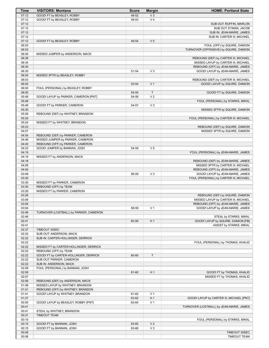| Time           | <b>VISITORS: Montana</b>                                          | <b>Score</b>   | <b>Margin</b>                    | <b>HOME: Portland State</b>                                  |
|----------------|-------------------------------------------------------------------|----------------|----------------------------------|--------------------------------------------------------------|
| 07:12          | GOOD! FT by BEASLEY, ROBBY                                        | 49-52          | $V_3$                            |                                                              |
| 07:12          | GOOD! FT by BEASLEY, ROBBY                                        | 49-53          | V <sub>4</sub>                   |                                                              |
| 07:12          |                                                                   |                |                                  | SUB OUT: RUFFIN, MARLON                                      |
| 07:12          |                                                                   |                |                                  | SUB OUT: EYMAN, JACOB                                        |
| 07:12<br>07:12 |                                                                   |                |                                  | SUB IN: JEAN-MARIE, JAMES<br>SUB IN: CARTER III, MICHAEL     |
| 07:12          | GOOD! FT by BEASLEY, ROBBY                                        | 49-54          | V <sub>5</sub>                   |                                                              |
| 06:53          |                                                                   |                |                                  | FOUL (OFF) by SQUIRE, DAMION                                 |
| 06:53          |                                                                   |                |                                  | TURNOVER (OFFENSIVE) by SQUIRE, DAMION                       |
| 06:40          | MISSED JUMPER by ANDERSON, MACK                                   |                |                                  |                                                              |
| 06:38          |                                                                   |                |                                  | REBOUND (DEF) by CARTER III, MICHAEL                         |
| 06:34          |                                                                   |                |                                  | MISSED LAYUP by CARTER III, MICHAEL                          |
| 06:30          |                                                                   |                |                                  | REBOUND (OFF) by JEAN-MARIE, JAMES                           |
| 06:30          |                                                                   | 51-54          | $V_3$                            | GOOD! LAYUP by JEAN-MARIE, JAMES                             |
| 06:05<br>06:03 | MISSED 3PTR by BEASLEY, ROBBY                                     |                |                                  | REBOUND (DEF) by CARTER III, MICHAEL                         |
| 06:00          |                                                                   | 53-54          | V <sub>1</sub>                   | GOOD! LAYUP by SQUIRE, DAMION                                |
| 06:00          | FOUL (PERSONAL) by BEASLEY, ROBBY                                 |                |                                  |                                                              |
| 06:00          |                                                                   | 54-54          | $\mathsf T$                      | GOOD! FT by SQUIRE, DAMION                                   |
| 05:48          | GOOD! LAYUP by PARKER, CAMERON [PNT]                              | 54-56          | V <sub>2</sub>                   |                                                              |
| 05:48          |                                                                   |                |                                  | FOUL (PERSONAL) by STARKS, MIKAL                             |
| 05:48          | GOOD! FT by PARKER, CAMERON                                       | 54-57          | V <sub>3</sub>                   |                                                              |
| 05:30<br>05:26 |                                                                   |                |                                  | MISSED 3PTR by SQUIRE, DAMION                                |
| 05:25          | REBOUND (DEF) by WHITNEY, BRANDON                                 |                |                                  | FOUL (PERSONAL) by CARTER III, MICHAEL                       |
| 05:24          | MISSED FT by WHITNEY, BRANDON                                     |                |                                  |                                                              |
| 05:23          |                                                                   |                |                                  | REBOUND (DEF) by SQUIRE, DAMION                              |
| 04:57          |                                                                   |                |                                  | MISSED 3PTR by SQUIRE, DAMION                                |
| 04:54          | REBOUND (DEF) by PARKER, CAMERON                                  |                |                                  |                                                              |
| 04:46          | MISSED JUMPER by PARKER, CAMERON                                  |                |                                  |                                                              |
| 04:40          | REBOUND (OFF) by PARKER, CAMERON                                  |                |                                  |                                                              |
| 04:22<br>04:19 | GOOD! JUMPER by BANNAN, JOSH                                      | 54-59          | V <sub>5</sub>                   | FOUL (PERSONAL) by JEAN-MARIE, JAMES                         |
| 04:19          | MISSED FT by ANDERSON, MACK                                       |                |                                  |                                                              |
| 04:18          |                                                                   |                |                                  | REBOUND (DEF) by JEAN-MARIE, JAMES                           |
| 04:06          |                                                                   |                |                                  | MISSED 3PTR by CARTER III, MICHAEL                           |
| 04:04          |                                                                   |                |                                  | REBOUND (OFF) by JEAN-MARIE, JAMES                           |
| 03:48          |                                                                   | 56-59          | V <sub>3</sub>                   | GOOD! LAYUP by JEAN-MARIE, JAMES                             |
| 03:30          |                                                                   |                |                                  | FOUL (PERSONAL) by CARTER III, MICHAEL                       |
| 03:30<br>03:30 | MISSED FT by PARKER, CAMERON                                      |                |                                  |                                                              |
| 03:29          | REBOUND (OFF) by TEAM<br>MISSED FT by PARKER, CAMERON             |                |                                  |                                                              |
| 03:28          |                                                                   |                |                                  | REBOUND (DEF) by SQUIRE, DAMION                              |
| 03:08          |                                                                   |                |                                  | MISSED LAYUP by CARTER III, MICHAEL                          |
| 03:04          |                                                                   |                |                                  | REBOUND (OFF) by JEAN-MARIE, JAMES                           |
| 03:04          |                                                                   | 58-59          | V <sub>1</sub>                   | GOOD! LAYUP by JEAN-MARIE, JAMES                             |
| 02:46          | TURNOVER (LOSTBALL) by PARKER, CAMERON                            |                |                                  |                                                              |
| 02:46          |                                                                   |                |                                  | STEAL by STARKS, MIKAL<br>GOOD! LAYUP by SQUIRE, DAMION [FB] |
| 02:41<br>02:41 |                                                                   | 60-59          | H <sub>1</sub>                   | ASSIST by STARKS, MIKAL                                      |
| 02:37          | TIMEOUT 30SEC                                                     |                |                                  |                                                              |
| 02:22          | SUB OUT: ANDERSON, MACK                                           |                |                                  |                                                              |
| 02:22          | SUB IN: CARTER-HOLLINGER, DERRICK                                 |                |                                  |                                                              |
| 02:22          |                                                                   |                |                                  | FOUL (PERSONAL) by THOMAS, KHALID                            |
| 02:22          | MISSED FT by CARTER-HOLLINGER, DERRICK                            |                |                                  |                                                              |
| 02:22          | REBOUND (OFF) by TEAM                                             |                |                                  |                                                              |
| 02:22<br>02:22 | GOOD! FT by CARTER-HOLLINGER, DERRICK<br>SUB OUT: PARKER, CAMERON | 60-60          | $\mathsf T$                      |                                                              |
| 02:22          | SUB IN: ANDERSON, MACK                                            |                |                                  |                                                              |
| 02:08          | FOUL (PERSONAL) by BANNAN, JOSH                                   |                |                                  |                                                              |
| 02:08          |                                                                   | 61-60          | H <sub>1</sub>                   | GOOD! FT by THOMAS, KHALID                                   |
| 02:07          |                                                                   |                |                                  | MISSED FT by THOMAS, KHALID                                  |
| 02:06          | REBOUND (DEF) by ANDERSON, MACK                                   |                |                                  |                                                              |
| 01:46          | MISSED LAYUP by WHITNEY, BRANDON                                  |                |                                  |                                                              |
| 01:41          | REBOUND (OFF) by WHITNEY, BRANDON                                 |                |                                  |                                                              |
| 01:41<br>01:27 | GOOD! LAYUP by WHITNEY, BRANDON                                   | 61-62<br>63-62 | V <sub>1</sub><br>H <sub>1</sub> | GOOD! LAYUP by CARTER III, MICHAEL [PNT]                     |
| 00:55          | GOOD! LAYUP by BEASLEY, ROBBY [PNT]                               | 63-64          | V <sub>1</sub>                   |                                                              |
| 00:41          |                                                                   |                |                                  | TURNOVER (LOSTBALL) by JEAN-MARIE, JAMES                     |
| 00:41          | STEAL by WHITNEY, BRANDON                                         |                |                                  |                                                              |
| 00:31          | <b>TIMEOUT TEAM</b>                                               |                |                                  |                                                              |
| 00:15          |                                                                   |                |                                  | FOUL (PERSONAL) by STARKS, MIKAL                             |
| 00:15          | GOOD! FT by BANNAN, JOSH                                          | 63-65          | V <sub>2</sub>                   |                                                              |
| 00:15          | GOOD! FT by BANNAN, JOSH                                          | 63-66          | $V_3$                            |                                                              |
| 00:08<br>00:08 |                                                                   |                |                                  | TIMEOUT 30SEC<br><b>TIMEOUT TEAM</b>                         |
|                |                                                                   |                |                                  |                                                              |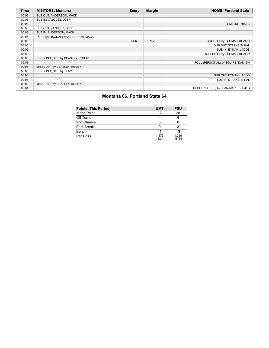| Time  | <b>VISITORS: Montana</b>          | <b>Score</b> | <b>Margin</b>  | <b>HOME: Portland State</b>        |
|-------|-----------------------------------|--------------|----------------|------------------------------------|
| 00:08 | SUB OUT: ANDERSON, MACK           |              |                |                                    |
| 00:08 | SUB IN: VAZQUEZ, JOSH             |              |                |                                    |
| 00:08 |                                   |              |                | TIMEOUT 30SEC                      |
| 00:08 | SUB OUT: VAZQUEZ, JOSH            |              |                |                                    |
| 00:08 | SUB IN: ANDERSON, MACK            |              |                |                                    |
| 00:06 | FOUL (PERSONAL) by ANDERSON, MACK |              |                |                                    |
| 00:06 |                                   | 64-66        | V <sub>2</sub> | GOOD! FT by THOMAS, KHALID         |
| 00:06 |                                   |              |                | SUB OUT: STARKS, MIKAL             |
| 00:06 |                                   |              |                | SUB IN: EYMAN, JACOB               |
| 00:06 |                                   |              |                | MISSED FT by THOMAS, KHALID        |
| 00:03 | REBOUND (DEF) by BEASLEY, ROBBY   |              |                |                                    |
| 00:03 |                                   |              |                | FOUL (PERSONAL) by SQUIRE, DAMION  |
| 00:03 | MISSED FT by BEASLEY, ROBBY       |              |                |                                    |
| 00:03 | REBOUND (OFF) by TEAM             |              |                |                                    |
| 00:03 |                                   |              |                | SUB OUT: EYMAN, JACOB              |
| 00:03 |                                   |              |                | SUB IN: STARKS, MIKAL              |
| 00:02 | MISSED FT by BEASLEY, ROBBY       |              |                |                                    |
| 00:01 |                                   |              |                | REBOUND (DEF) by JEAN-MARIE, JAMES |

# **Montana 66, Portland State 64**

| <b>Points (This Period)</b> | <b>UMT</b>     | <b>PSU</b>     |
|-----------------------------|----------------|----------------|
| In the Paint                | 12             | 28             |
| Off Turns                   |                |                |
| 2nd Chance                  |                |                |
| <b>Fast Break</b>           |                |                |
| Bench                       |                | 13             |
| Per Poss                    | 1.176<br>18/34 | 1.059<br>18/34 |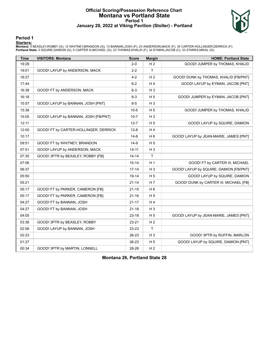#### **Official Scoring/Possession Reference Chart Montana vs Portland State Period 1 January 20, 2022 at Viking Pavilion (Stoller) - Portland**



#### **Period 1**

<mark>Starters:</mark><br>Montana: 5 BEASLEY,ROBBY (G); 12 WHITNEY,BRANDON (G); 13 BANNAN,JOSH (F); 23 ANDERSON,MACK (F); 35 CARTER-HOLLINGER,DERRICK (F);<br>**Portland State**: 0 SQUIRE,DAMION (G); 5 CARTER III,MICHAEL (G); 23 THOMAS,KHALID

| <b>Time</b> | <b>VISITORS: Montana</b>              | <b>Score</b> | <b>Margin</b>  | <b>HOME: Portland State</b>            |
|-------------|---------------------------------------|--------------|----------------|----------------------------------------|
| 19:29       |                                       | $2 - 0$      | H <sub>2</sub> | GOOD! JUMPER by THOMAS, KHALID         |
| 19:01       | GOOD! LAYUP by ANDERSON, MACK         | $2 - 2$      | T              |                                        |
| 18:27       |                                       | 4-2          | H <sub>2</sub> | GOOD! DUNK by THOMAS, KHALID [FB/PNT]  |
| 17:44       |                                       | $6-2$        | H 4            | GOOD! LAYUP by EYMAN, JACOB [PNT]      |
| 16:38       | GOOD! FT by ANDERSON, MACK            | $6 - 3$      | $H_3$          |                                        |
| 16:18       |                                       | 8-3          | H <sub>5</sub> | GOOD! JUMPER by EYMAN, JACOB [PNT]     |
| 15:57       | GOOD! LAYUP by BANNAN, JOSH [PNT]     | $8 - 5$      | $H_3$          |                                        |
| 15:38       |                                       | $10-5$       | H <sub>5</sub> | GOOD! JUMPER by THOMAS, KHALID         |
| 15:05       | GOOD! LAYUP by BANNAN, JOSH [FB/PNT]  | $10 - 7$     | $H_3$          |                                        |
| 12:11       |                                       | 12-7         | H <sub>5</sub> | GOOD! LAYUP by SQUIRE, DAMION          |
| 12:00       | GOOD! FT by CARTER-HOLLINGER, DERRICK | $12 - 8$     | H4             |                                        |
| 10:17       |                                       | 14-8         | H 6            | GOOD! LAYUP by JEAN-MARIE, JAMES [PNT] |
| 09:51       | GOOD! FT by WHITNEY, BRANDON          | 14-9         | H <sub>5</sub> |                                        |
| 07:51       | GOOD! LAYUP by ANDERSON, MACK         | 14-11        | H <sub>3</sub> |                                        |
| 07:30       | GOOD! 3PTR by BEASLEY, ROBBY [FB]     | 14-14        | $\mathsf T$    |                                        |
| 07:06       |                                       | 15-14        | H 1            | GOOD! FT by CARTER III, MICHAEL        |
| 06:37       |                                       | 17-14        | $H_3$          | GOOD! LAYUP by SQUIRE, DAMION [FB/PNT] |
| 05:50       |                                       | 19-14        | H <sub>5</sub> | GOOD! LAYUP by SQUIRE, DAMION          |
| 05:21       |                                       | $21 - 14$    | H 7            | GOOD! DUNK by CARTER III, MICHAEL [FB] |
| 05:17       | GOOD! FT by PARKER, CAMERON [FB]      | $21 - 15$    | H 6            |                                        |
| 05:17       | GOOD! FT by PARKER, CAMERON [FB]      | 21-16        | H <sub>5</sub> |                                        |
| 04:27       | GOOD! FT by BANNAN, JOSH              | $21 - 17$    | H 4            |                                        |
| 04:27       | GOOD! FT by BANNAN, JOSH              | 21-18        | $H_3$          |                                        |
| 04:05       |                                       | 23-18        | H 5            | GOOD! LAYUP by JEAN-MARIE, JAMES [PNT] |
| 03:36       | GOOD! 3PTR by BEASLEY, ROBBY          | 23-21        | H <sub>2</sub> |                                        |
| 02:56       | GOOD! LAYUP by BANNAN, JOSH           | 23-23        | T              |                                        |
| 02:23       |                                       | 26-23        | $H_3$          | GOOD! 3PTR by RUFFIN, MARLON           |
| 01:27       |                                       | 28-23        | H <sub>5</sub> | GOOD! LAYUP by SQUIRE, DAMION [PNT]    |
| 00:34       | GOOD! 3PTR by MARTIN, LONNELL         | 28-26        | H <sub>2</sub> |                                        |

**Montana 26, Portland State 28**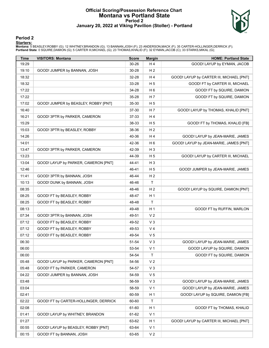#### **Official Scoring/Possession Reference Chart Montana vs Portland State Period 2 January 20, 2022 at Viking Pavilion (Stoller) - Portland**



#### **Period 2**

#### **Starters:**

Montana: 5 BEASLEY,ROBBY (G); 12 WHITNEY,BRANDON (G); 13 BANNAN,JOSH (F); 23 ANDERSON,MACK (F); 35 CARTER-HOLLINGER,DERRICK (F);<br>**Portland State**: 0 SQUIRE,DAMION (G); 5 CARTER III,MICHAEL (G); 23 THOMAS,KHALID (F); 32 EYM

| Time  | <b>VISITORS: Montana</b>              | <b>Score</b> | <b>Margin</b>  | <b>HOME: Portland State</b>              |
|-------|---------------------------------------|--------------|----------------|------------------------------------------|
| 19:29 |                                       | 30-26        | H4             | GOOD! LAYUP by EYMAN, JACOB              |
| 19:10 | GOOD! JUMPER by BANNAN, JOSH          | 30-28        | H <sub>2</sub> |                                          |
| 18:32 |                                       | 32-28        | H4             | GOOD! LAYUP by CARTER III, MICHAEL [PNT] |
| 18:32 |                                       | 33-28        | H <sub>5</sub> | GOOD! FT by CARTER III, MICHAEL          |
| 17:22 |                                       | 34-28        | H <sub>6</sub> | GOOD! FT by SQUIRE, DAMION               |
| 17:22 |                                       | 35-28        | H <sub>7</sub> | GOOD! FT by SQUIRE, DAMION               |
| 17:02 | GOOD! JUMPER by BEASLEY, ROBBY [PNT]  | 35-30        | H <sub>5</sub> |                                          |
| 16:40 |                                       | 37-30        | H 7            | GOOD! LAYUP by THOMAS, KHALID [PNT]      |
| 16:21 | GOOD! 3PTR by PARKER, CAMERON         | 37-33        | H4             |                                          |
| 15:29 |                                       | 38-33        | H <sub>5</sub> | GOOD! FT by THOMAS, KHALID [FB]          |
| 15:03 | GOOD! 3PTR by BEASLEY, ROBBY          | 38-36        | H <sub>2</sub> |                                          |
| 14:26 |                                       | 40-36        | H 4            | GOOD! LAYUP by JEAN-MARIE, JAMES         |
| 14:01 |                                       | 42-36        | H <sub>6</sub> | GOOD! LAYUP by JEAN-MARIE, JAMES [PNT]   |
| 13:47 | GOOD! 3PTR by PARKER, CAMERON         | 42-39        | $H_3$          |                                          |
| 13:23 |                                       | 44-39        | H <sub>5</sub> | GOOD! LAYUP by CARTER III, MICHAEL       |
| 13:04 | GOOD! LAYUP by PARKER, CAMERON [PNT]  | 44-41        | $H_3$          |                                          |
| 12:46 |                                       | 46-41        | H <sub>5</sub> | GOOD! JUMPER by JEAN-MARIE, JAMES        |
| 11:41 | GOOD! 3PTR by BANNAN, JOSH            | 46-44        | H <sub>2</sub> |                                          |
| 10:13 | GOOD! DUNK by BANNAN, JOSH            | 46-46        | T              |                                          |
| 08:35 |                                       | 48-46        | H <sub>2</sub> | GOOD! LAYUP by SQUIRE, DAMION [PNT]      |
| 08:25 | GOOD! FT by BEASLEY, ROBBY            | 48-47        | H <sub>1</sub> |                                          |
| 08:25 | GOOD! FT by BEASLEY, ROBBY            | 48-48        | T              |                                          |
| 08:13 |                                       | 49-48        | H <sub>1</sub> | GOOD! FT by RUFFIN, MARLON               |
| 07:34 | GOOD! 3PTR by BANNAN, JOSH            | 49-51        | V <sub>2</sub> |                                          |
| 07:12 | GOOD! FT by BEASLEY, ROBBY            | 49-52        | $V_3$          |                                          |
| 07:12 | GOOD! FT by BEASLEY, ROBBY            | 49-53        | V <sub>4</sub> |                                          |
| 07:12 | GOOD! FT by BEASLEY, ROBBY            | 49-54        | V <sub>5</sub> |                                          |
| 06:30 |                                       | 51-54        | $V_3$          | GOOD! LAYUP by JEAN-MARIE, JAMES         |
| 06:00 |                                       | 53-54        | V <sub>1</sub> | GOOD! LAYUP by SQUIRE, DAMION            |
| 06:00 |                                       | 54-54        | Τ              | GOOD! FT by SQUIRE, DAMION               |
| 05:48 | GOOD! LAYUP by PARKER, CAMERON [PNT]  | 54-56        | V <sub>2</sub> |                                          |
| 05:48 | GOOD! FT by PARKER, CAMERON           | 54-57        | $V_3$          |                                          |
| 04:22 | GOOD! JUMPER by BANNAN, JOSH          | 54-59        | V <sub>5</sub> |                                          |
| 03:48 |                                       | 56-59        | $V_3$          | GOOD! LAYUP by JEAN-MARIE, JAMES         |
| 03:04 |                                       | 58-59        | V <sub>1</sub> | GOOD! LAYUP by JEAN-MARIE, JAMES         |
| 02:41 |                                       | 60-59        | H <sub>1</sub> | GOOD! LAYUP by SQUIRE, DAMION [FB]       |
| 02:22 | GOOD! FT by CARTER-HOLLINGER, DERRICK | 60-60        | T              |                                          |
| 02:08 |                                       | 61-60        | H <sub>1</sub> | GOOD! FT by THOMAS, KHALID               |
| 01:41 | GOOD! LAYUP by WHITNEY, BRANDON       | 61-62        | V <sub>1</sub> |                                          |
| 01:27 |                                       | 63-62        | H <sub>1</sub> | GOOD! LAYUP by CARTER III, MICHAEL [PNT] |
| 00:55 | GOOD! LAYUP by BEASLEY, ROBBY [PNT]   | 63-64        | V <sub>1</sub> |                                          |
| 00:15 | GOOD! FT by BANNAN, JOSH              | 63-65        | V <sub>2</sub> |                                          |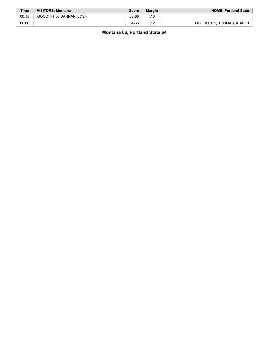| <b>Time</b> | <b>VISITORS: Montana</b> | Score | <b>Margin</b> | <b>HOME: Portland State</b> |
|-------------|--------------------------|-------|---------------|-----------------------------|
| 00:15       | GOOD! FT by BANNAN, JOSH | 63-66 |               |                             |
| 00:06       |                          | 64-66 |               | GOOD! FT by THOMAS, KHALID  |

**Montana 66, Portland State 64**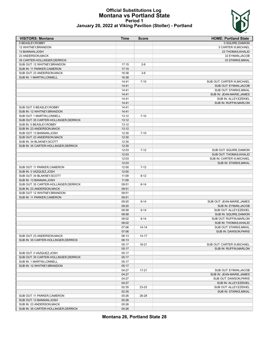# **Official Substitutions Log Montana vs Portland State Period 1**



| January 20, 2022 at Viking Pavilion (Stoller) - Portland |  |  |  |  |  |
|----------------------------------------------------------|--|--|--|--|--|
|----------------------------------------------------------|--|--|--|--|--|

| <b>VISITORS: Montana</b>                                | Time  | <b>Score</b> | <b>HOME: Portland State</b>  |
|---------------------------------------------------------|-------|--------------|------------------------------|
| 5 BEASLEY, ROBBY                                        |       |              | 0 SQUIRE, DAMION             |
| 12 WHITNEY, BRANDON                                     |       |              | 5 CARTER III, MICHAEL        |
| 13 BANNAN, JOSH                                         |       |              | 23 THOMAS, KHALID            |
| 23 ANDERSON, MACK                                       |       |              | 32 EYMAN, JACOB              |
| 35 CARTER-HOLLINGER, DERRICK                            |       |              | 33 STARKS, MIKAL             |
| SUB OUT: 12 WHITNEY BRANDON                             | 17:15 | $2 - 6$      |                              |
| SUB IN: 11 PARKER, CAMERON                              | 17:15 |              |                              |
| SUB OUT: 23 ANDERSON, MACK                              | 16:38 | $3-6$        |                              |
| SUB IN: 1 MARTIN, LONNELL                               | 16:38 |              |                              |
|                                                         | 14:41 | $7 - 10$     | SUB OUT: CARTER III, MICHAEL |
|                                                         | 14:41 |              | SUB OUT: EYMAN, JACOB        |
|                                                         | 14:41 |              | SUB OUT: STARKS, MIKAL       |
|                                                         | 14:41 |              | SUB IN: JEAN-MARIE, JAMES    |
|                                                         | 14:41 |              | SUB IN: ALLEY, EZEKIEL       |
|                                                         | 14:41 |              | SUB IN: RUFFIN, MARLON       |
| SUB OUT: 5 BEASLEY, ROBBY                               | 14:41 |              |                              |
| SUB IN: 12 WHITNEY, BRANDON                             | 14:41 |              |                              |
| SUB OUT: 1 MARTIN, LONNELL                              | 13:12 | $7 - 10$     |                              |
| SUB OUT: 35 CARTER-HOLLINGER, DERRICK                   | 13:12 |              |                              |
| SUB IN: 5 BEASLEY, ROBBY                                | 13:12 |              |                              |
| SUB IN: 23 ANDERSON, MACK                               | 13:12 |              |                              |
| SUB OUT: 13 BANNAN.JOSH                                 | 12:30 | $7 - 10$     |                              |
| SUB OUT: 23 ANDERSON, MACK                              | 12:30 |              |                              |
| SUB IN: 34 BLAKNEY, SCOTT                               | 12:30 |              |                              |
| SUB IN: 35 CARTER-HOLLINGER, DERRICK                    | 12:30 |              |                              |
|                                                         | 12:03 | $7 - 12$     | SUB OUT: SQUIRE, DAMION      |
|                                                         | 12:03 |              | SUB OUT: THOMAS, KHALID      |
|                                                         | 12:03 |              | SUB IN: CARTER III, MICHAEL  |
|                                                         | 12:03 |              | SUB IN: STARKS, MIKAL        |
| SUB OUT: 11 PARKER, CAMERON                             | 12:00 | $7 - 12$     |                              |
| SUB IN: 3 VAZQUEZ, JOSH                                 | 12:00 |              |                              |
| SUB OUT: 34 BLAKNEY, SCOTT                              | 11:09 | $8 - 12$     |                              |
| SUB IN: 13 BANNAN, JOSH                                 | 11:09 |              |                              |
| SUB OUT: 35 CARTER-HOLLINGER, DERRICK                   | 09:51 | $8 - 14$     |                              |
| SUB IN: 23 ANDERSON, MACK                               | 09:51 |              |                              |
| SUB OUT: 12 WHITNEY, BRANDON                            | 09:51 |              |                              |
| SUB IN: 11 PARKER, CAMERON                              | 09:51 |              |                              |
|                                                         | 09:20 | $9 - 14$     | SUB OUT: JEAN-MARIE, JAMES   |
|                                                         | 09:20 |              | SUB IN: EYMAN, JACOB         |
|                                                         | 08:58 | $9 - 14$     | SUB OUT: ALLEY, EZEKIEL      |
|                                                         | 08:58 |              | SUB IN: SQUIRE, DAMION       |
|                                                         | 08:02 | $9 - 14$     | SUB OUT: RUFFIN, MARLON      |
|                                                         | 08:02 |              | SUB IN: THOMAS, KHALID       |
|                                                         | 07:06 | $14 - 14$    | <b>SUB OUT: STARKS MIKAL</b> |
|                                                         | 07:06 |              | <b>SUB IN: DAWSON.PARIS</b>  |
| SUB OUT: 23 ANDERSON, MACK                              | 06:13 | 14-17        |                              |
| SUB IN: 35 CARTER-HOLLINGER, DERRICK                    | 06:13 |              |                              |
|                                                         | 05:17 | 16-21        | SUB OUT: CARTER III, MICHAEL |
|                                                         | 05:17 |              | SUB IN: RUFFIN, MARLON       |
| SUB OUT: 3 VAZQUEZ, JOSH                                | 05:17 |              |                              |
| SUB OUT: 35 CARTER-HOLLINGER, DERRICK                   | 05:17 |              |                              |
| SUB IN: 1 MARTIN, LONNELL                               | 05:17 |              |                              |
| SUB IN: 12 WHITNEY, BRANDON                             | 05:17 |              |                              |
|                                                         | 04:27 | $17 - 21$    | SUB OUT: EYMAN, JACOB        |
|                                                         | 04:27 |              | SUB IN: JEAN-MARIE, JAMES    |
|                                                         | 04:27 |              | SUB OUT: DAWSON, PARIS       |
|                                                         | 04:27 |              | SUB IN: ALLEY, EZEKIEL       |
|                                                         | 02:35 | 23-23        | SUB OUT: ALLEY, EZEKIEL      |
|                                                         | 02:35 |              |                              |
|                                                         | 00:26 | 26-28        | SUB IN: STARKS, MIKAL        |
| SUB OUT: 11 PARKER, CAMERON<br>SUB OUT: 13 BANNAN, JOSH | 00:26 |              |                              |
| SUB IN: 23 ANDERSON, MACK                               | 00:26 |              |                              |
| SUB IN: 35 CARTER-HOLLINGER, DERRICK                    |       |              |                              |
|                                                         | 00:26 |              |                              |

**Montana 26, Portland State 28**